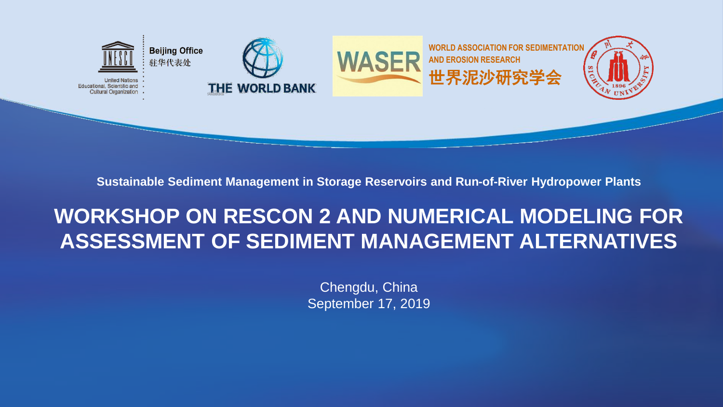

**Sustainable Sediment Management in Storage Reservoirs and Run-of-River Hydropower Plants**

## **WORKSHOP ON RESCON 2 AND NUMERICAL MODELING FOR ASSESSMENT OF SEDIMENT MANAGEMENT ALTERNATIVES**

Chengdu, China September 17, 2019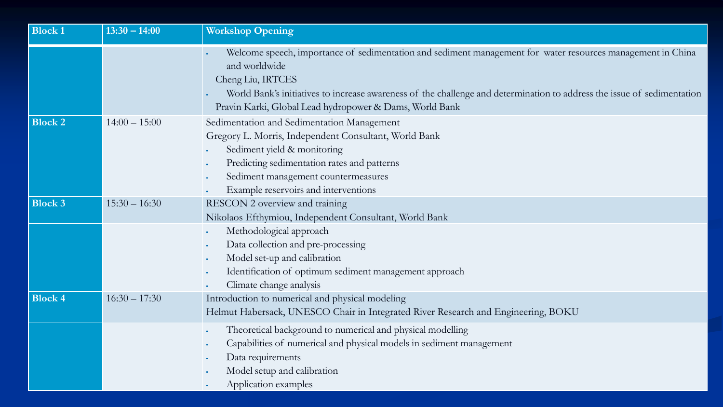| <b>Block 1</b> | $13:30 - 14:00$ | <b>Workshop Opening</b>                                                                                                                                                                                                                                                                                                                 |
|----------------|-----------------|-----------------------------------------------------------------------------------------------------------------------------------------------------------------------------------------------------------------------------------------------------------------------------------------------------------------------------------------|
|                |                 | Welcome speech, importance of sedimentation and sediment management for water resources management in China<br>and worldwide<br>Cheng Liu, IRTCES<br>World Bank's initiatives to increase awareness of the challenge and determination to address the issue of sedimentation<br>Pravin Karki, Global Lead hydropower & Dams, World Bank |
| <b>Block 2</b> | $14:00 - 15:00$ | Sedimentation and Sedimentation Management<br>Gregory L. Morris, Independent Consultant, World Bank<br>Sediment yield & monitoring<br>Predicting sedimentation rates and patterns<br>Sediment management countermeasures<br>Example reservoirs and interventions                                                                        |
| <b>Block 3</b> | $15:30 - 16:30$ | RESCON 2 overview and training<br>Nikolaos Efthymiou, Independent Consultant, World Bank<br>Methodological approach<br>Data collection and pre-processing<br>Model set-up and calibration<br>$\bullet$<br>Identification of optimum sediment management approach<br>Climate change analysis                                             |
| <b>Block 4</b> | $16:30 - 17:30$ | Introduction to numerical and physical modeling<br>Helmut Habersack, UNESCO Chair in Integrated River Research and Engineering, BOKU                                                                                                                                                                                                    |
|                |                 | Theoretical background to numerical and physical modelling<br>Capabilities of numerical and physical models in sediment management<br>Data requirements<br>Model setup and calibration<br>Application examples                                                                                                                          |